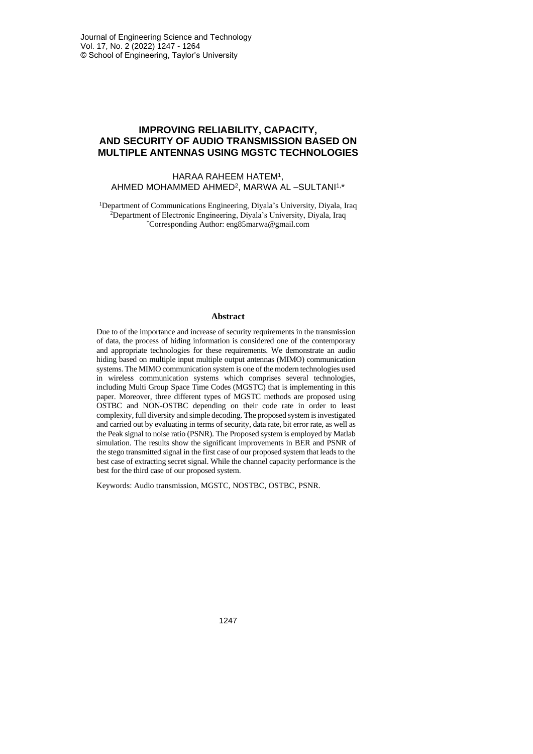# **IMPROVING RELIABILITY, CAPACITY, AND SECURITY OF AUDIO TRANSMISSION BASED ON MULTIPLE ANTENNAS USING MGSTC TECHNOLOGIES**

#### HARAA RAHEEM HATEM<sup>1</sup> , AHMED MOHAMMED AHMED<sup>2</sup> , MARWA AL –SULTANI1, \*

<sup>1</sup>Department of Communications Engineering, Diyala's University, Diyala, Iraq <sup>2</sup>Department of Electronic Engineering, Diyala's University, Diyala, Iraq \*Corresponding Author: [eng85marwa@gmail.com](mailto:eng85marwa@gmail.com)

#### **Abstract**

Due to of the importance and increase of security requirements in the transmission of data, the process of hiding information is considered one of the contemporary and appropriate technologies for these requirements. We demonstrate an audio hiding based on multiple input multiple output antennas (MIMO) communication systems. The MIMO communication system is one of the modern technologies used in wireless communication systems which comprises several technologies, including Multi Group Space Time Codes (MGSTC) that is implementing in this paper. Moreover, three different types of MGSTC methods are proposed using OSTBC and NON-OSTBC depending on their code rate in order to least complexity, full diversity and simple decoding. The proposed system is investigated and carried out by evaluating in terms of security, data rate, bit error rate, as well as the Peak signal to noise ratio (PSNR). The Proposed system is employed by Matlab simulation. The results show the significant improvements in BER and PSNR of the stego transmitted signal in the first case of our proposed system that leads to the best case of extracting secret signal. While the channel capacity performance is the best for the third case of our proposed system.

Keywords: Audio transmission, MGSTC, NOSTBC, OSTBC, PSNR.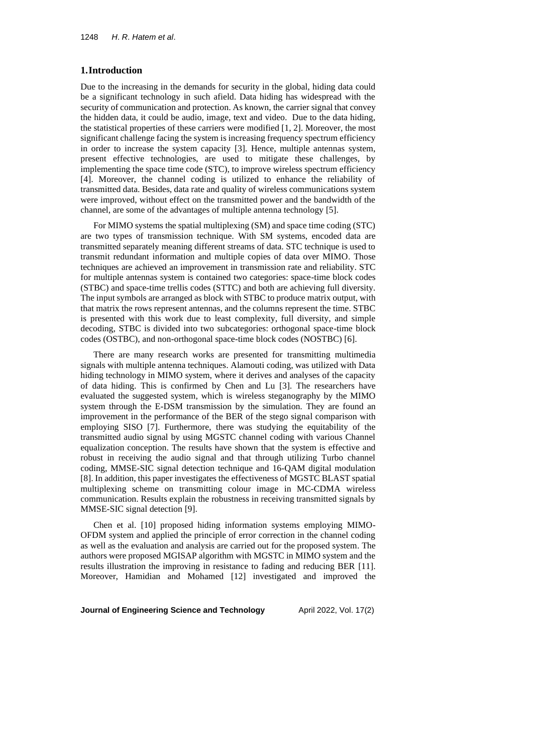### **1.Introduction**

Due to the increasing in the demands for security in the global, hiding data could be a significant technology in such afield. Data hiding has widespread with the security of communication and protection. As known, the carrier signal that convey the hidden data, it could be audio, image, text and video. Due to the data hiding, the statistical properties of these carriers were modified [1, 2]. Moreover, the most significant challenge facing the system is increasing frequency spectrum efficiency in order to increase the system capacity [3]. Hence, multiple antennas system, present effective technologies, are used to mitigate these challenges, by implementing the space time code (STC), to improve wireless spectrum efficiency [4]. Moreover, the channel coding is utilized to enhance the reliability of transmitted data. Besides, data rate and quality of wireless communications system were improved, without effect on the transmitted power and the bandwidth of the channel, are some of the advantages of multiple antenna technology [5].

For MIMO systems the spatial multiplexing (SM) and space time coding (STC) are two types of transmission technique. With SM systems, encoded data are transmitted separately meaning different streams of data. STC technique is used to transmit redundant information and multiple copies of data over MIMO. Those techniques are achieved an improvement in transmission rate and reliability. STC for multiple antennas system is contained two categories: space-time block codes (STBC) and space-time trellis codes (STTC) and both are achieving full diversity. The input symbols are arranged as block with STBC to produce matrix output, with that matrix the rows represent antennas, and the columns represent the time. STBC is presented with this work due to least complexity, full diversity, and simple decoding, STBC is divided into two subcategories: orthogonal space-time block codes (OSTBC), and non-orthogonal space-time block codes (NOSTBC) [6].

There are many research works are presented for transmitting multimedia signals with multiple antenna techniques. Alamouti coding, was utilized with Data hiding technology in MIMO system, where it derives and analyses of the capacity of data hiding. This is confirmed by Chen and Lu [3]. The researchers have evaluated the suggested system, which is wireless steganography by the MIMO system through the E-DSM transmission by the simulation. They are found an improvement in the performance of the BER of the stego signal comparison with employing SISO [7]. Furthermore, there was studying the equitability of the transmitted audio signal by using MGSTC channel coding with various Channel equalization conception. The results have shown that the system is effective and robust in receiving the audio signal and that through utilizing Turbo channel coding, MMSE-SIC signal detection technique and 16-QAM digital modulation [8]. In addition, this paper investigates the effectiveness of MGSTC BLAST spatial multiplexing scheme on transmitting colour image in MC-CDMA wireless communication. Results explain the robustness in receiving transmitted signals by MMSE-SIC signal detection [9].

Chen et al. [10] proposed hiding information systems employing MIMO-OFDM system and applied the principle of error correction in the channel coding as well as the evaluation and analysis are carried out for the proposed system. The authors were proposed MGISAP algorithm with MGSTC in MIMO system and the results illustration the improving in resistance to fading and reducing BER [11]. Moreover, Hamidian and Mohamed [12] investigated and improved the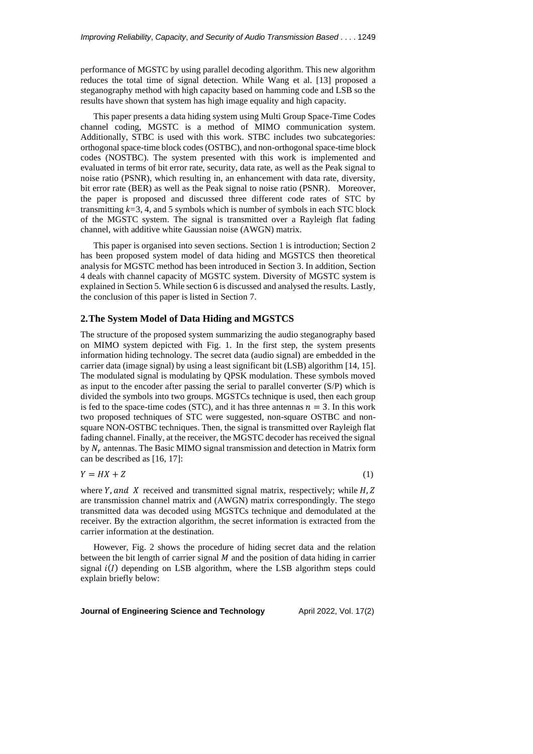performance of MGSTC by using parallel decoding algorithm. This new algorithm reduces the total time of signal detection. While Wang et al. [13] proposed a steganography method with high capacity based on hamming code and LSB so the results have shown that system has high image equality and high capacity.

This paper presents a data hiding system using Multi Group Space-Time Codes channel coding, MGSTC is a method of MIMO communication system. Additionally, STBC is used with this work. STBC includes two subcategories: orthogonal space-time block codes (OSTBC), and non-orthogonal space-time block codes (NOSTBC). The system presented with this work is implemented and evaluated in terms of bit error rate, security, data rate, as well as the Peak signal to noise ratio (PSNR), which resulting in, an enhancement with data rate, diversity, bit error rate (BER) as well as the Peak signal to noise ratio (PSNR). Moreover, the paper is proposed and discussed three different code rates of STC by transmitting *k=*3, 4, and 5 symbols which is number of symbols in each STC block of the MGSTC system. The signal is transmitted over a Rayleigh flat fading channel, with additive white Gaussian noise (AWGN) matrix.

This paper is organised into seven sections. Section 1 is introduction; Section 2 has been proposed system model of data hiding and MGSTCS then theoretical analysis for MGSTC method has been introduced in Section 3. In addition, Section 4 deals with channel capacity of MGSTC system. Diversity of MGSTC system is explained in Section 5. While section 6 is discussed and analysed the results. Lastly, the conclusion of this paper is listed in Section 7.

## **2.The System Model of Data Hiding and MGSTCS**

The structure of the proposed system summarizing the audio steganography based on MIMO system depicted with Fig. 1. In the first step, the system presents information hiding technology. The secret data (audio signal) are embedded in the carrier data (image signal) by using a least significant bit (LSB) algorithm [14, 15]. The modulated signal is modulating by QPSK modulation. These symbols moved as input to the encoder after passing the serial to parallel converter (S/P) which is divided the symbols into two groups. MGSTCs technique is used, then each group is fed to the space-time codes (STC), and it has three antennas  $n = 3$ . In this work two proposed techniques of STC were suggested, non-square OSTBC and nonsquare NON-OSTBC techniques. Then, the signal is transmitted over Rayleigh flat fading channel. Finally, at the receiver, the MGSTC decoder has received the signal by  $N_r$  antennas. The Basic MIMO signal transmission and detection in Matrix form can be described as [16, 17]:

$$
Y = HX + Z \tag{1}
$$

where  $Y$ , and  $X$  received and transmitted signal matrix, respectively; while  $H, Z$ are transmission channel matrix and (AWGN) matrix correspondingly. The stego transmitted data was decoded using MGSTCs technique and demodulated at the receiver. By the extraction algorithm, the secret information is extracted from the carrier information at the destination.

However, Fig. 2 shows the procedure of hiding secret data and the relation between the bit length of carrier signal  $M$  and the position of data hiding in carrier signal  $i(I)$  depending on LSB algorithm, where the LSB algorithm steps could explain briefly below: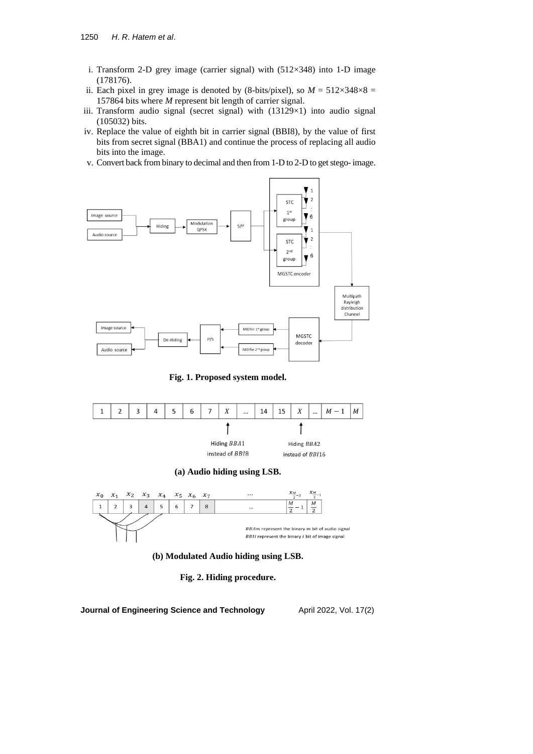- i. Transform 2-D grey image (carrier signal) with (512×348) into 1-D image (178176).
- ii. Each pixel in grey image is denoted by (8-bits/pixel), so  $M = 512 \times 348 \times 8 =$ 157864 bits where *M* represent bit length of carrier signal.
- iii. Transform audio signal (secret signal) with (13129×1) into audio signal (105032) bits.
- iv. Replace the value of eighth bit in carrier signal (BBI8), by the value of first bits from secret signal (BBA1) and continue the process of replacing all audio bits into the image.
- v. Convert back from binary to decimal and then from 1-D to 2-D to get stego- image.



**Fig. 1. Proposed system model.**





**(b) Modulated Audio hiding using LSB.**

**Fig. 2. Hiding procedure.**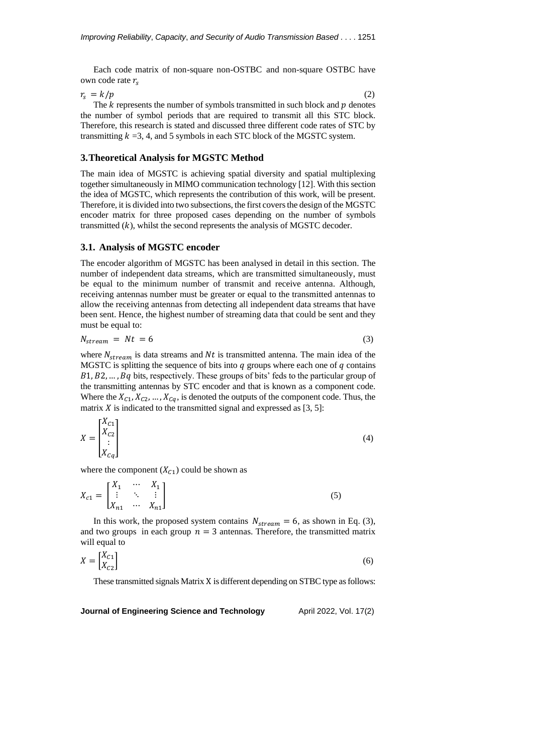Each code matrix of non-square non-OSTBC and non-square OSTBC have own code rate  $r_s$ 

# $r_s = k/p$  (2)

The  $k$  represents the number of symbols transmitted in such block and  $p$  denotes the number of symbol periods that are required to transmit all this STC block. Therefore, this research is stated and discussed three different code rates of STC by transmitting  $k = 3, 4$ , and 5 symbols in each STC block of the MGSTC system.

#### **3.Theoretical Analysis for MGSTC Method**

The main idea of MGSTC is achieving spatial diversity and spatial multiplexing together simultaneously in MIMO communication technology [12]. With this section the idea of MGSTC, which represents the contribution of this work, will be present. Therefore, it is divided into two subsections, the first covers the design of the MGSTC encoder matrix for three proposed cases depending on the number of symbols transmitted  $(k)$ , whilst the second represents the analysis of MGSTC decoder.

### **3.1. Analysis of MGSTC encoder**

The encoder algorithm of MGSTC has been analysed in detail in this section. The number of independent data streams, which are transmitted simultaneously, must be equal to the minimum number of transmit and receive antenna. Although, receiving antennas number must be greater or equal to the transmitted antennas to allow the receiving antennas from detecting all independent data streams that have been sent. Hence, the highest number of streaming data that could be sent and they must be equal to:

$$
N_{stream} = Nt = 6 \tag{3}
$$

where  $N_{stream}$  is data streams and  $Nt$  is transmitted antenna. The main idea of the MGSTC is splitting the sequence of bits into  $q$  groups where each one of  $q$  contains  $B1, B2, \ldots, Bq$  bits, respectively. These groups of bits' feds to the particular group of the transmitting antennas by STC encoder and that is known as a component code. Where the  $X_{c1}, X_{c2}, ..., X_{cq}$ , is denoted the outputs of the component code. Thus, the matrix  $X$  is indicated to the transmitted signal and expressed as [3, 5]:

$$
X = \begin{bmatrix} X_{C1} \\ X_{C2} \\ \vdots \\ X_{Cq} \end{bmatrix} \tag{4}
$$

where the component  $(X_{C_1})$  could be shown as

$$
X_{c1} = \begin{bmatrix} X_1 & \cdots & X_1 \\ \vdots & \ddots & \vdots \\ X_{n1} & \cdots & X_{n1} \end{bmatrix}
$$
 (5)

In this work, the proposed system contains  $N_{stream} = 6$ , as shown in Eq. (3), and two groups in each group  $n = 3$  antennas. Therefore, the transmitted matrix will equal to

$$
X = \begin{bmatrix} X_{C1} \\ X_{C2} \end{bmatrix} \tag{6}
$$

These transmitted signals Matrix X is different depending on STBC type as follows: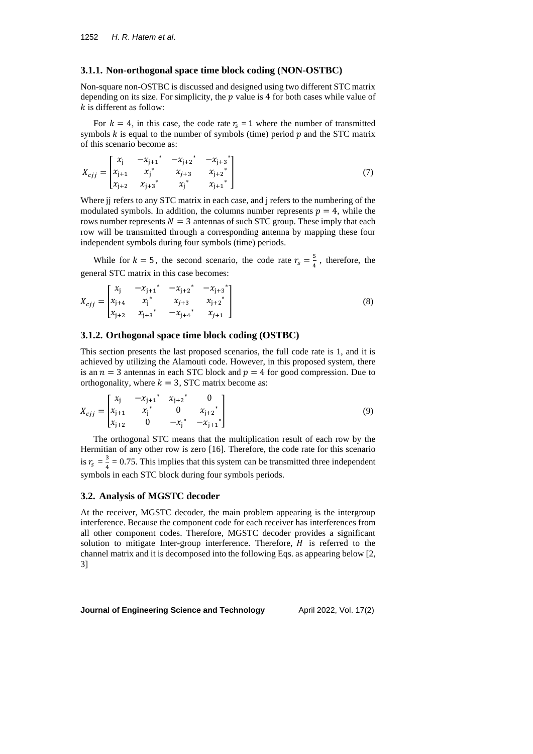#### **3.1.1. Non-orthogonal space time block coding (NON-OSTBC)**

Non-square non-OSTBC is discussed and designed using two different STC matrix depending on its size. For simplicity, the  $p$  value is 4 for both cases while value of  $k$  is different as follow:

For  $k = 4$ , in this case, the code rate  $r_s = 1$  where the number of transmitted symbols  $k$  is equal to the number of symbols (time) period  $p$  and the STC matrix of this scenario become as:

$$
X_{cjj} = \begin{bmatrix} x_j & -x_{j+1}^* & -x_{j+2}^* & -x_{j+3}^* \\ x_{j+1} & x_j^* & x_{j+3} & x_{j+2}^* \\ x_{j+2} & x_{j+3}^* & x_j^* & x_{j+1}^* \end{bmatrix}
$$
(7)

Where jj refers to any STC matrix in each case, and j refers to the numbering of the modulated symbols. In addition, the columns number represents  $p = 4$ , while the rows number represents  $N = 3$  antennas of such STC group. These imply that each row will be transmitted through a corresponding antenna by mapping these four independent symbols during four symbols (time) periods.

While for  $k = 5$ , the second scenario, the code rate  $r_s = \frac{5}{4}$  $\frac{3}{4}$ , therefore, the general STC matrix in this case becomes:

$$
X_{cjj} = \begin{bmatrix} x_j & -x_{j+1}^* & -x_{j+2}^* & -x_{j+3}^* \\ x_{j+4} & x_j^* & x_{j+3} & x_{j+2}^* \\ x_{j+2} & x_{j+3}^* & -x_{j+4}^* & x_{j+1} \end{bmatrix}
$$
(8)

#### **3.1.2. Orthogonal space time block coding (OSTBC)**

This section presents the last proposed scenarios, the full code rate is 1, and it is achieved by utilizing the Alamouti code. However, in this proposed system, there is an  $n = 3$  antennas in each STC block and  $p = 4$  for good compression. Due to orthogonality, where  $k = 3$ , STC matrix become as:

$$
X_{cjj} = \begin{bmatrix} x_j & -x_{j+1}^* & x_{j+2}^* & 0\\ x_{j+1} & x_j^* & 0 & x_{j+2}^*\\ x_{j+2} & 0 & -x_j^* & -x_{j+1}^* \end{bmatrix}
$$
 (9)

The orthogonal STC means that the multiplication result of each row by the Hermitian of any other row is zero [16]. Therefore, the code rate for this scenario is  $r_s = \frac{3}{4}$  $\frac{3}{4}$  = 0.75. This implies that this system can be transmitted three independent symbols in each STC block during four symbols periods.

### **3.2. Analysis of MGSTC decoder**

At the receiver, MGSTC decoder, the main problem appearing is the intergroup interference. Because the component code for each receiver has interferences from all other component codes. Therefore, MGSTC decoder provides a significant solution to mitigate Inter-group interference. Therefore,  $H$  is referred to the channel matrix and it is decomposed into the following Eqs. as appearing below [2, 3]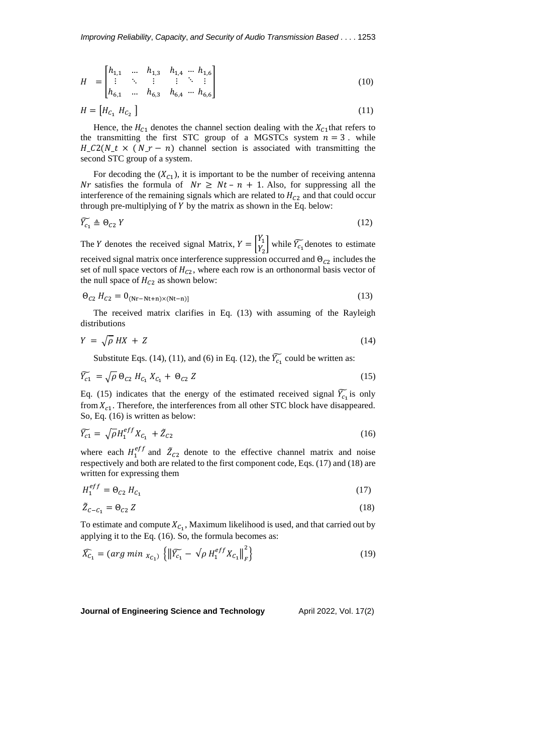$$
H = \begin{bmatrix} h_{1,1} & \dots & h_{1,3} & h_{1,4} & \dots & h_{1,6} \\ \vdots & \ddots & \vdots & \vdots & \ddots & \vdots \\ h_{6,1} & \dots & h_{6,3} & h_{6,4} & \dots & h_{6,6} \end{bmatrix}
$$
 (10)

$$
H = \left[ H_{C_1} \ H_{C_2} \ \right] \tag{11}
$$

Hence, the  $H_{c1}$  denotes the channel section dealing with the  $X_{c1}$  that refers to the transmitting the first STC group of a MGSTCs system  $n = 3$ . while  $H_C^2(N_t \times (N_t - n))$  channel section is associated with transmitting the second STC group of a system.

For decoding the  $(X_{c_1})$ , it is important to be the number of receiving antenna Nr satisfies the formula of  $Nr \geq Nt - n + 1$ . Also, for suppressing all the interference of the remaining signals which are related to  $H<sub>C2</sub>$  and that could occur through pre-multiplying of  $Y$  by the matrix as shown in the Eq. below:

$$
\widetilde{Y_{c_1}} \triangleq \Theta_{C2} Y \tag{12}
$$

The Y denotes the received signal Matrix,  $Y = \begin{bmatrix} Y_1 \\ Y_2 \end{bmatrix}$  $\begin{bmatrix} I_1 \\ Y_2 \end{bmatrix}$  while  $\widetilde{Y_{c_1}}$  denotes to estimate received signal matrix once interference suppression occurred and  $\Theta_{C2}$  includes the set of null space vectors of  $H_{c2}$ , where each row is an orthonormal basis vector of the null space of  $H_{C2}$  as shown below:

$$
\Theta_{C2} H_{C2} = 0_{(Nr-Nt+n)\times(Nt-n)]}
$$
\n(13)

The received matrix clarifies in Eq. (13) with assuming of the Rayleigh distributions

$$
Y = \sqrt{\rho} HX + Z \tag{14}
$$

Substitute Eqs. (14), (11), and (6) in Eq. (12), the  $\widetilde{Y_{c_1}}$  could be written as:

$$
\widetilde{Y_{c1}} = \sqrt{\rho} \Theta_{C2} H_{C_1} X_{C_1} + \Theta_{C2} Z \tag{15}
$$

Eq. (15) indicates that the energy of the estimated received signal  $\widetilde{Y_{c_1}}$  is only from  $X_{c1}$ . Therefore, the interferences from all other STC block have disappeared. So, Eq. (16) is written as below:

$$
\widetilde{Y_{c1}} = \sqrt{\rho} H_1^{eff} X_{C_1} + \widetilde{Z}_{C2} \tag{16}
$$

where each  $H_1^{eff}$  and  $\bar{Z}_{C2}$  denote to the effective channel matrix and noise respectively and both are related to the first component code, Eqs. (17) and (18) are written for expressing them

$$
H_1^{eff} = \Theta_{C2} \, H_{C_1} \tag{17}
$$

$$
\tilde{Z}_{C-C_1} = \Theta_{C2} Z \tag{18}
$$

To estimate and compute  $X_{C_1}$ , Maximum likelihood is used, and that carried out by applying it to the Eq. (16). So, the formula becomes as:

$$
\widehat{X}_{C_1} = (arg min_{X_{C_1}}) \left\{ \left\| \widetilde{Y}_{C_1} - \sqrt{\rho} H_1^{eff} X_{C_1} \right\|_F^2 \right\}
$$
(19)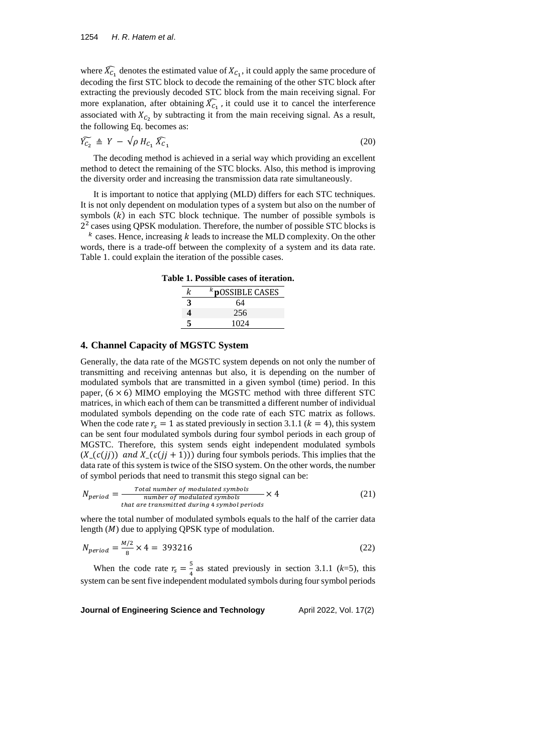where  $\widehat{X}_{C_1}$  denotes the estimated value of  $X_{C_1}$ , it could apply the same procedure of decoding the first STC block to decode the remaining of the other STC block after extracting the previously decoded STC block from the main receiving signal. For more explanation, after obtaining  $\widehat{X}_{C_1}$ , it could use it to cancel the interference associated with  $X_{C_2}$  by subtracting it from the main receiving signal. As a result, the following Eq. becomes as:

$$
\widetilde{Y_{C_2}} \triangleq Y - \sqrt{\rho} H_{C_1} \widetilde{X_{C_1}}
$$
\n(20)

The decoding method is achieved in a serial way which providing an excellent method to detect the remaining of the STC blocks. Also, this method is improving the diversity order and increasing the transmission data rate simultaneously.

It is important to notice that applying (MLD) differs for each STC techniques. It is not only dependent on modulation types of a system but also on the number of symbols  $(k)$  in each STC block technique. The number of possible symbols is 2 2 cases using QPSK modulation. Therefore, the number of possible STC blocks is

 $k$  cases. Hence, increasing  $k$  leads to increase the MLD complexity. On the other words, there is a trade-off between the complexity of a system and its data rate. Table 1. could explain the iteration of the possible cases.

**Table 1. Possible cases of iteration.**

| $k$ pOSSIBLE CASES |
|--------------------|
| 64                 |
| 256                |
| 1024               |

#### **4. Channel Capacity of MGSTC System**

Generally, the data rate of the MGSTC system depends on not only the number of transmitting and receiving antennas but also, it is depending on the number of modulated symbols that are transmitted in a given symbol (time) period. In this paper,  $(6 \times 6)$  MIMO employing the MGSTC method with three different STC matrices, in which each of them can be transmitted a different number of individual modulated symbols depending on the code rate of each STC matrix as follows. When the code rate  $r_s = 1$  as stated previously in section 3.1.1 ( $k = 4$ ), this system can be sent four modulated symbols during four symbol periods in each group of MGSTC. Therefore, this system sends eight independent modulated symbols  $(X_{-}(c(j)))$  and  $X_{-}(c(jj + 1)))$  during four symbols periods. This implies that the data rate of this system is twice of the SISO system. On the other words, the number of symbol periods that need to transmit this stego signal can be:

$$
N_{period} = \frac{Total number of modulated symbols}{number of modulated symbols} \times 4
$$
\n
$$
that are transmitted during 4 symbol periods
$$
\n(21)

where the total number of modulated symbols equals to the half of the carrier data length  $(M)$  due to applying QPSK type of modulation.

$$
N_{period} = \frac{M/2}{8} \times 4 = 393216
$$
 (22)

When the code rate  $r_s = \frac{5}{4}$  $\frac{3}{4}$  as stated previously in section 3.1.1 (*k*=5), this system can be sent five independent modulated symbols during four symbol periods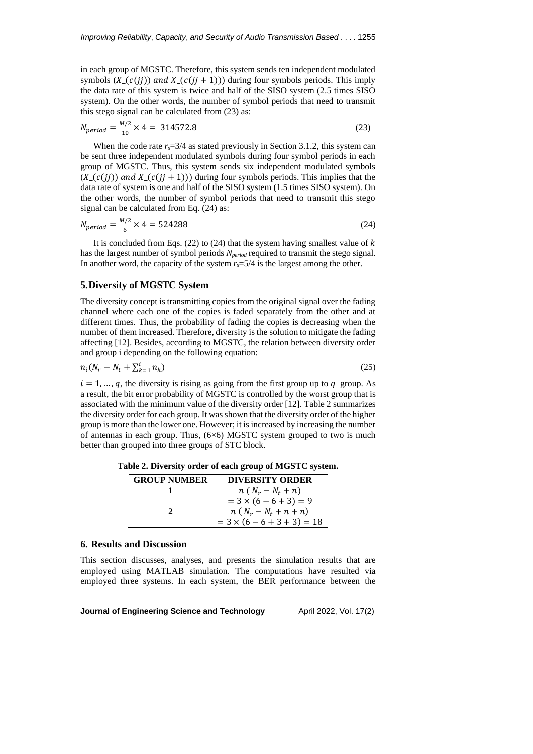in each group of MGSTC. Therefore, this system sends ten independent modulated symbols  $(X_{-}(c(j)))$  and  $X_{-}(c(jj + 1)))$  during four symbols periods. This imply the data rate of this system is twice and half of the SISO system (2.5 times SISO system). On the other words, the number of symbol periods that need to transmit this stego signal can be calculated from (23) as:

$$
N_{period} = \frac{M/2}{10} \times 4 = 314572.8
$$
 (23)

When the code rate  $r_s = 3/4$  as stated previously in Section 3.1.2, this system can be sent three independent modulated symbols during four symbol periods in each group of MGSTC. Thus, this system sends six independent modulated symbols  $(X_{\text{-}}(c(i)))$  and  $X_{\text{-}}(c(ij + 1)))$  during four symbols periods. This implies that the data rate of system is one and half of the SISO system (1.5 times SISO system). On the other words, the number of symbol periods that need to transmit this stego signal can be calculated from Eq. (24) as:

$$
N_{period} = \frac{M/2}{6} \times 4 = 524288
$$
 (24)

It is concluded from Eqs. (22) to (24) that the system having smallest value of  $k$ has the largest number of symbol periods *Nperiod* required to transmit the stego signal. In another word, the capacity of the system  $r_s = 5/4$  is the largest among the other.

### **5.Diversity of MGSTC System**

The diversity concept is transmitting copies from the original signal over the fading channel where each one of the copies is faded separately from the other and at different times. Thus, the probability of fading the copies is decreasing when the number of them increased. Therefore, diversity is the solution to mitigate the fading affecting [12]. Besides, according to MGSTC, the relation between diversity order and group i depending on the following equation:

$$
n_i(N_r - N_t + \sum_{k=1}^i n_k) \tag{25}
$$

 $i = 1, \dots, q$ , the diversity is rising as going from the first group up to q group. As a result, the bit error probability of MGSTC is controlled by the worst group that is associated with the minimum value of the diversity order [12]. Table 2 summarizes the diversity order for each group. It was shown that the diversity order of the higher group is more than the lower one. However; it is increased by increasing the number of antennas in each group. Thus, (6×6) MGSTC system grouped to two is much better than grouped into three groups of STC block.

| <b>GROUP NUMBER</b> | <b>DIVERSITY ORDER</b>            |
|---------------------|-----------------------------------|
|                     | $n(N_r - N_t + n)$                |
|                     | $= 3 \times (6 - 6 + 3) = 9$      |
|                     | $n(N_r - N_t + n + n)$            |
|                     | $= 3 \times (6 - 6 + 3 + 3) = 18$ |

**Table 2. Diversity order of each group of MGSTC system.**

#### **6. Results and Discussion**

This section discusses, analyses, and presents the simulation results that are employed using MATLAB simulation. The computations have resulted via employed three systems. In each system, the BER performance between the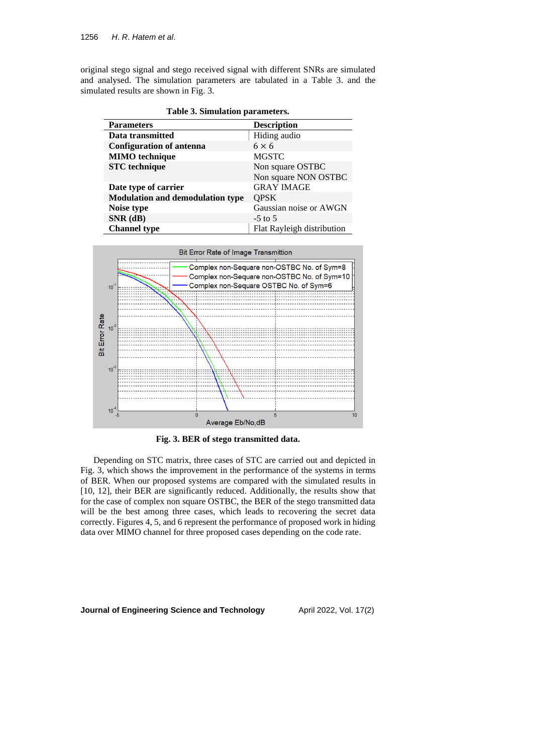original stego signal and stego received signal with different SNRs are simulated and analysed. The simulation parameters are tabulated in a Table 3. and the simulated results are shown in Fig. 3.

**Table 3. Simulation parameters.**

| Table 5. Simulation parameters.         |                            |  |  |  |
|-----------------------------------------|----------------------------|--|--|--|
| <b>Parameters</b>                       | <b>Description</b>         |  |  |  |
| Data transmitted                        | Hiding audio               |  |  |  |
| Configuration of antenna                | $6 \times 6$               |  |  |  |
| <b>MIMO</b> technique                   | <b>MGSTC</b>               |  |  |  |
| <b>STC</b> technique                    | Non square OSTBC           |  |  |  |
|                                         | Non square NON OSTBC       |  |  |  |
| Date type of carrier                    | <b>GRAY IMAGE</b>          |  |  |  |
| <b>Modulation and demodulation type</b> | <b>OPSK</b>                |  |  |  |
| Noise type                              | Gaussian noise or AWGN     |  |  |  |
| $SNR$ (dB)                              | $-5$ to 5                  |  |  |  |
| <b>Channel type</b>                     | Flat Rayleigh distribution |  |  |  |



**Fig. 3. BER of stego transmitted data.**

Depending on STC matrix, three cases of STC are carried out and depicted in Fig. 3, which shows the improvement in the performance of the systems in terms of BER. When our proposed systems are compared with the simulated results in [10, 12], their BER are significantly reduced. Additionally, the results show that for the case of complex non square OSTBC, the BER of the stego transmitted data will be the best among three cases, which leads to recovering the secret data correctly. Figures 4, 5, and 6 represent the performance of proposed work in hiding data over MIMO channel for three proposed cases depending on the code rate.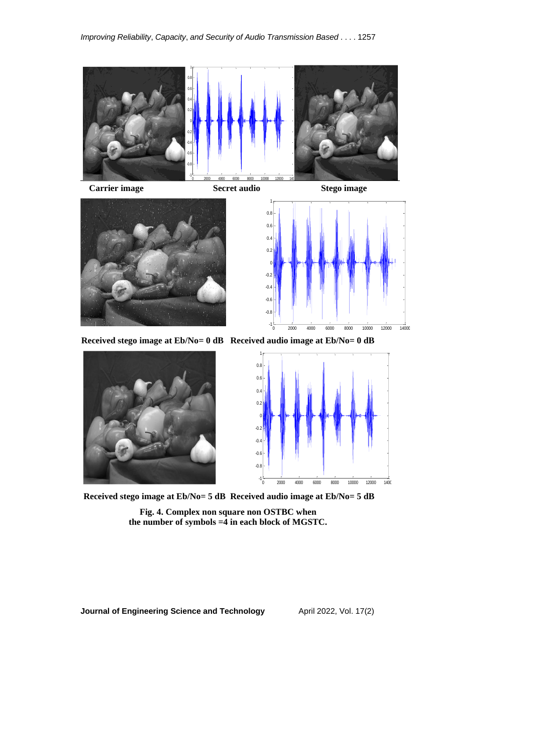

Secret audio

Carrier image **Secret audio** Stego image





Received stego image at Eb/No= 0 dB Received audio image at Eb/No= 0 dB <sup>o</sup> muçe e





Received stego image at Eb/No= 5 dB Received audio image at Eb/No= 5 dB

**Fig. 4. Complex non square non OSTBC when the number of symbols =4 in each block of MGSTC.**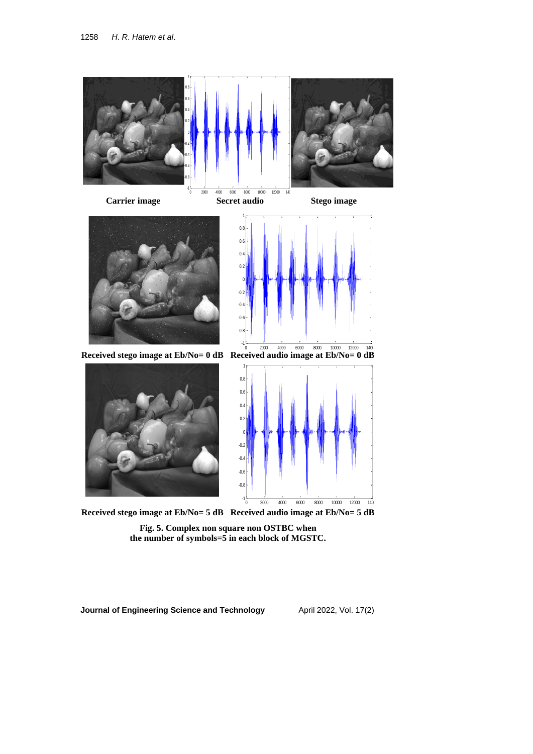

Received stego image at Eb/No= 5 dB Received audio image at Eb/No= 5 dB

**Fig. 5. Complex non square non OSTBC when the number of symbols=5 in each block of MGSTC.**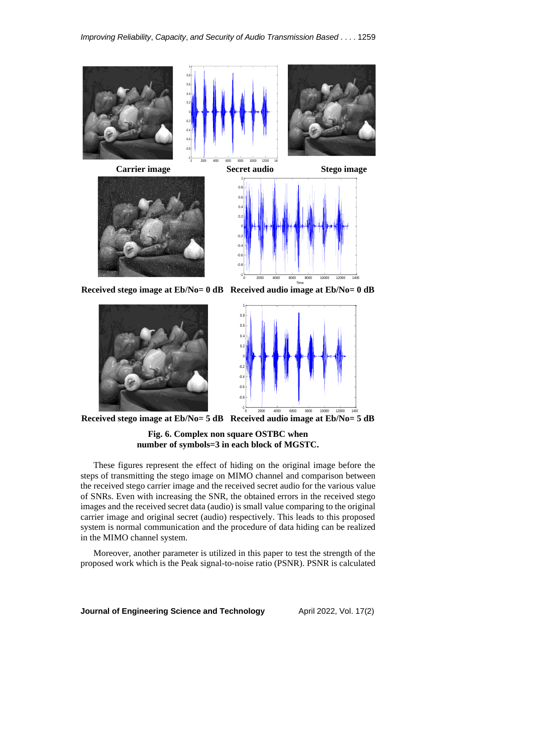

**Received stego image at Eb/No= 0 dB Received audio image at Eb/No= 0 dB**





Received stego image at Eb/No= 5 dB Received audio image at Eb/No= 5 dB

**Fig. 6. Complex non square OSTBC when number of symbols=3 in each block of MGSTC.**

These figures represent the effect of hiding on the original image before the steps of transmitting the stego image on MIMO channel and comparison between the received stego carrier image and the received secret audio for the various value of SNRs. Even with increasing the SNR, the obtained errors in the received stego images and the received secret data (audio) is small value comparing to the original carrier image and original secret (audio) respectively. This leads to this proposed system is normal communication and the procedure of data hiding can be realized in the MIMO channel system.

Moreover, another parameter is utilized in this paper to test the strength of the proposed work which is the Peak signal-to-noise ratio (PSNR). PSNR is calculated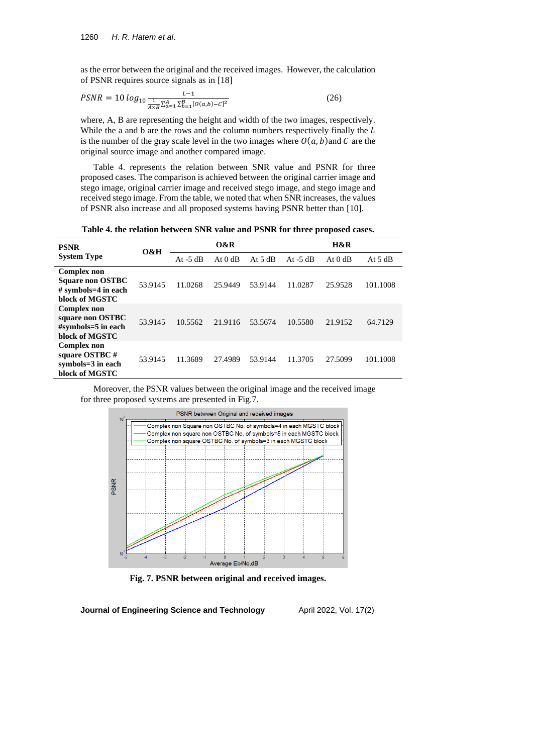as the error between the original and the received images. However, the calculation of PSNR requires source signals as in [18]

$$
PSNR = 10 \log_{10} \frac{L-1}{\frac{1}{A \times B} \sum_{a=1}^{A} \sum_{b=1}^{B} [O(a,b) - C]^2}
$$
(26)

where, A, B are representing the height and width of the two images, respectively. While the a and b are the rows and the column numbers respectively finally the  $L$ is the number of the gray scale level in the two images where  $O(a, b)$  and C are the original source image and another compared image.

Table 4. represents the relation between SNR value and PSNR for three proposed cases. The comparison is achieved between the original carrier image and stego image, original carrier image and received stego image, and stego image and received stego image. From the table, we noted that when SNR increases, the values of PSNR also increase and all proposed systems having PSNR better than [10].

**Table 4. the relation between SNR value and PSNR for three proposed cases.**

| <b>PSNR</b><br><b>System Type</b>                                                   | O&H     | O&R        |         |           | H&R        |                    |           |
|-------------------------------------------------------------------------------------|---------|------------|---------|-----------|------------|--------------------|-----------|
|                                                                                     |         | At $-5$ dB | At 0 dB | At $5 dB$ | At $-5 dB$ | At <sub>0</sub> dB | At $5 dB$ |
| Complex non<br><b>Square non OSTBC</b><br>$# symbols = 4$ in each<br>block of MGSTC | 53.9145 | 11.0268    | 25.9449 | 53.9144   | 11.0287    | 25.9528            | 101.1008  |
| <b>Complex non</b><br>square non OSTBC<br>$# symbols = 5$ in each<br>block of MGSTC | 53.9145 | 10.5562    | 21.9116 | 53.5674   | 10.5580    | 21.9152            | 64.7129   |
| Complex non<br>square OSTBC#<br>symbols=3 in each<br>block of MGSTC                 | 53.9145 | 11.3689    | 27.4989 | 53.9144   | 11.3705    | 27.5099            | 101.1008  |

Moreover, the PSNR values between the original image and the received image for three proposed systems are presented in Fig.7.



**Fig. 7. PSNR between original and received images.**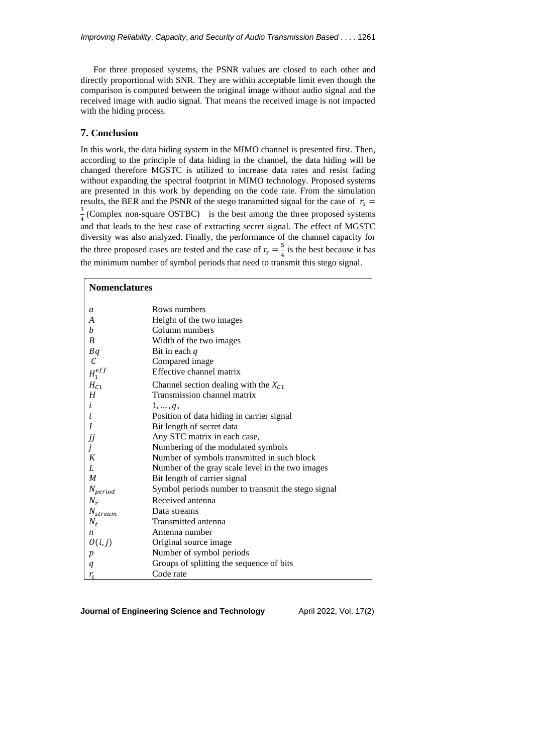For three proposed systems, the PSNR values are closed to each other and directly proportional with SNR. They are within acceptable limit even though the comparison is computed between the original image without audio signal and the received image with audio signal. That means the received image is not impacted with the hiding process.

# **7. Conclusion**

In this work, the data hiding system in the MIMO channel is presented first. Then, according to the principle of data hiding in the channel, the data hiding will be changed therefore MGSTC is utilized to increase data rates and resist fading without expanding the spectral footprint in MIMO technology. Proposed systems are presented in this work by depending on the code rate. From the simulation results, the BER and the PSNR of the stego transmitted signal for the case of  $r_s =$ 3  $\frac{3}{4}$  (Complex non-square OSTBC) is the best among the three proposed systems and that leads to the best case of extracting secret signal. The effect of MGSTC diversity was also analyzed. Finally, the performance of the channel capacity for the three proposed cases are tested and the case of  $r_s = \frac{5}{4}$  $\frac{3}{4}$  is the best because it has the minimum number of symbol periods that need to transmit this stego signal.

# **Nomenclatures** *a* Rows numbers *A* Height of the two images *h* Column numbers *b* Column numbers *B* Width of the two images  $Bq$  Bit in each q C Compared image  $\frac{H_1^{eff}}{H_{C1}}$  Effective channel matrix  $H_{C1}$  Channel section dealing with the  $X_{C1}$ <br>Transmission channel matrix **Transmission channel matrix**  $i \t 1, ..., q,$  Position of data hiding in carrier signal Bit length of secret data Any STC matrix in each case, *j* Numbering of the modulated symbols *K* Number of symbols transmitted in such block Number of the gray scale level in the two images M Bit length of carrier signal  $N_{period}$  Symbol periods number to transmit the stego signal  $N_r$  Received antenna N<sub>stream</sub> Data streams  $N_t$  Transmitted antenna *n* Antenna number  $O(i, j)$  Original source image Number of symbol periods Groups of splitting the sequence of bits  $r_s$  Code rate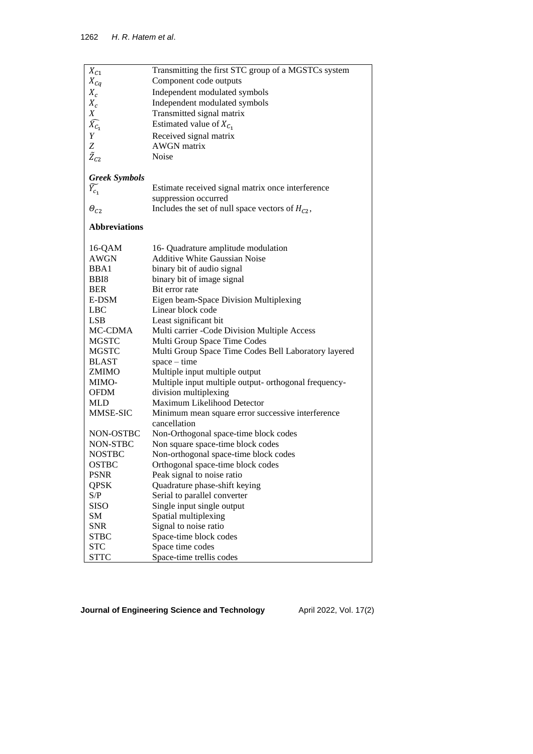|                      | Transmitting the first STC group of a MGSTCs system   |  |  |  |
|----------------------|-------------------------------------------------------|--|--|--|
| $X_{C1}$             |                                                       |  |  |  |
| $X_{Cq}$             | Component code outputs                                |  |  |  |
| $X_c$                | Independent modulated symbols                         |  |  |  |
| $X_c$                | Independent modulated symbols                         |  |  |  |
| X                    | Transmitted signal matrix                             |  |  |  |
| $\widehat{X_{C_1}}$  | Estimated value of $X_{C_1}$                          |  |  |  |
| Y                    | Received signal matrix                                |  |  |  |
| Z                    | <b>AWGN</b> matrix                                    |  |  |  |
| $\tilde{Z}_{C2}$     | Noise                                                 |  |  |  |
|                      |                                                       |  |  |  |
| <b>Greek Symbols</b> |                                                       |  |  |  |
| $Y_{c_1}$            | Estimate received signal matrix once interference     |  |  |  |
|                      | suppression occurred                                  |  |  |  |
| $\theta_{C2}$        | Includes the set of null space vectors of $H_{C2}$ ,  |  |  |  |
|                      |                                                       |  |  |  |
| <b>Abbreviations</b> |                                                       |  |  |  |
|                      |                                                       |  |  |  |
| 16-QAM               | 16- Quadrature amplitude modulation                   |  |  |  |
| AWGN                 | <b>Additive White Gaussian Noise</b>                  |  |  |  |
| BBA1                 | binary bit of audio signal                            |  |  |  |
| BBI <sub>8</sub>     | binary bit of image signal                            |  |  |  |
| <b>BER</b>           | Bit error rate                                        |  |  |  |
| E-DSM                | Eigen beam-Space Division Multiplexing                |  |  |  |
|                      |                                                       |  |  |  |
| <b>LBC</b>           | Linear block code                                     |  |  |  |
| LSB                  | Least significant bit                                 |  |  |  |
| MC-CDMA              | Multi carrier - Code Division Multiple Access         |  |  |  |
| <b>MGSTC</b>         | Multi Group Space Time Codes                          |  |  |  |
| <b>MGSTC</b>         | Multi Group Space Time Codes Bell Laboratory layered  |  |  |  |
| <b>BLAST</b>         | $space-time$                                          |  |  |  |
| ZMIMO                | Multiple input multiple output                        |  |  |  |
| MIMO-                | Multiple input multiple output- orthogonal frequency- |  |  |  |
| <b>OFDM</b>          | division multiplexing                                 |  |  |  |
| MLD                  | Maximum Likelihood Detector                           |  |  |  |
| MMSE-SIC             | Minimum mean square error successive interference     |  |  |  |
|                      | cancellation                                          |  |  |  |
| NON-OSTBC            | Non-Orthogonal space-time block codes                 |  |  |  |
| NON-STBC             | Non square space-time block codes                     |  |  |  |
| <b>NOSTBC</b>        | Non-orthogonal space-time block codes                 |  |  |  |
| <b>OSTBC</b>         | Orthogonal space-time block codes                     |  |  |  |
| <b>PSNR</b>          | Peak signal to noise ratio                            |  |  |  |
| <b>QPSK</b>          | Quadrature phase-shift keying                         |  |  |  |
| S/P                  | Serial to parallel converter                          |  |  |  |
| <b>SISO</b>          | Single input single output                            |  |  |  |
| SM                   | Spatial multiplexing                                  |  |  |  |
| <b>SNR</b>           | Signal to noise ratio                                 |  |  |  |
| <b>STBC</b>          | Space-time block codes                                |  |  |  |
| <b>STC</b>           | Space time codes                                      |  |  |  |
| <b>STTC</b>          | Space-time trellis codes                              |  |  |  |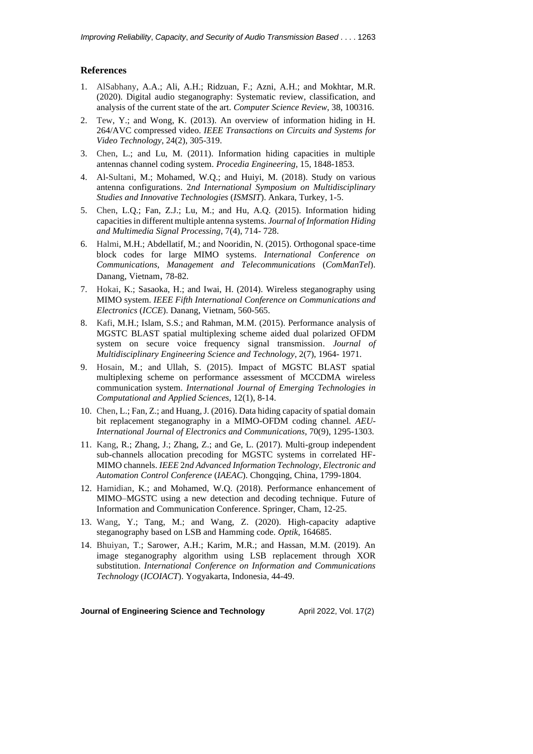# **References**

- 1. AlSabhany, A.A.; Ali, A.H.; Ridzuan, F.; Azni, A.H.; and Mokhtar, M.R. (2020). Digital audio steganography: Systematic review, classification, and analysis of the current state of the art. *Computer Science Review*, 38, 100316.
- 2. Tew, Y.; and Wong, K. (2013). An overview of information hiding in H. 264/AVC compressed video. *IEEE Transactions on Circuits and Systems for Video Technology*, 24(2), 305-319.
- 3. Chen, L.; and Lu, M. (2011). Information hiding capacities in multiple antennas channel coding system. *Procedia Engineering*, 15, 1848-1853.
- 4. Al-Sultani, M.; Mohamed, W.Q.; and Huiyi, M. (2018). Study on various antenna configurations. 2*nd International Symposium on Multidisciplinary Studies and Innovative Technologies* (*ISMSIT*). Ankara, Turkey, 1-5.
- 5. Chen, L.Q.; Fan, Z.J.; Lu, M.; and Hu, A.Q. (2015). Information hiding capacities in different multiple antenna systems. *Journal of Information Hiding and Multimedia Signal Processing*, 7(4), 714- 728.
- 6. Halmi, M.H.; Abdellatif, M.; and Nooridin, N. (2015). Orthogonal space-time block codes for large MIMO systems. *International Conference on Communications*, *Management and Telecommunications* (*ComManTel*). Danang, Vietnam, 78-82.
- 7. Hokai, K.; Sasaoka, H.; and Iwai, H. (2014). Wireless steganography using MIMO system. *IEEE Fifth International Conference on Communications and Electronics* (*ICCE*). Danang, Vietnam, 560-565.
- 8. Kafi, M.H.; Islam, S.S.; and Rahman, M.M. (2015). Performance analysis of MGSTC BLAST spatial multiplexing scheme aided dual polarized OFDM system on secure voice frequency signal transmission. *Journal of Multidisciplinary Engineering Science and Technology*, 2(7), 1964- 1971.
- 9. Hosain, M.; and Ullah, S. (2015). Impact of MGSTC BLAST spatial multiplexing scheme on performance assessment of MCCDMA wireless communication system. *International Journal of Emerging Technologies in Computational and Applied Sciences*, 12(1), 8-14.
- 10. Chen, L.; Fan, Z.; and Huang, J. (2016). Data hiding capacity of spatial domain bit replacement steganography in a MIMO-OFDM coding channel. *AEU-International Journal of Electronics and Communications*, 70(9), 1295-1303.
- 11. Kang, R.; Zhang, J.; Zhang, Z.; and Ge, L. (2017). Multi-group independent sub-channels allocation precoding for MGSTC systems in correlated HF-MIMO channels. *IEEE* 2*nd Advanced Information Technology*, *Electronic and Automation Control Conference* (*IAEAC*). Chongqing, China, 1799-1804.
- 12. Hamidian, K.; and Mohamed, W.Q. (2018). Performance enhancement of MIMO–MGSTC using a new detection and decoding technique. Future of Information and Communication Conference. Springer, Cham, 12-25.
- 13. Wang, Y.; Tang, M.; and Wang, Z. (2020). High-capacity adaptive steganography based on LSB and Hamming code. *Optik*, 164685.
- 14. Bhuiyan, T.; Sarower, A.H.; Karim, M.R.; and Hassan, M.M. (2019). An image steganography algorithm using LSB replacement through XOR substitution. *International Conference on Information and Communications Technology* (*ICOIACT*). Yogyakarta, Indonesia, 44-49.